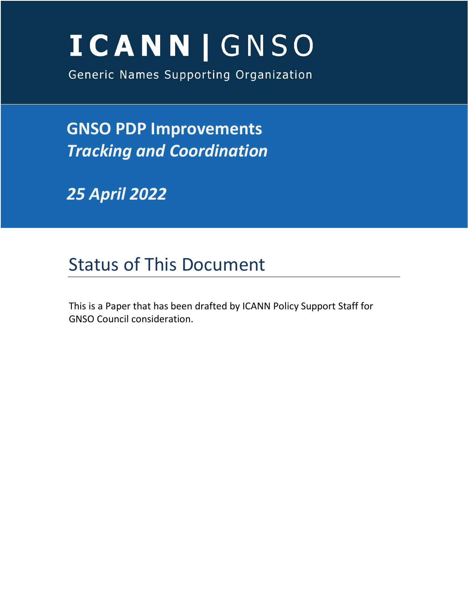# **ICANN | GNSO**

Generic Names Supporting Organization

**GNSO PDP Improvements** *Tracking and Coordination*

*25 April 2022*

# Status of This Document

This is a Paper that has been drafted by ICANN Policy Support Staff for GNSO Council consideration.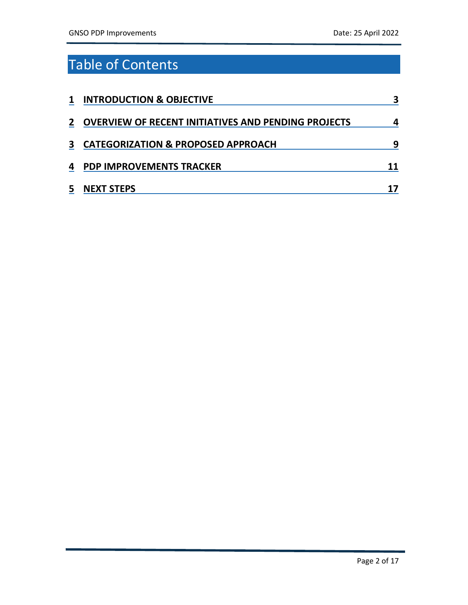# Table of Contents

| 1            | <b>INTRODUCTION &amp; OBJECTIVE</b>                        | 3 |
|--------------|------------------------------------------------------------|---|
| $\mathbf{2}$ | <b>OVERVIEW OF RECENT INITIATIVES AND PENDING PROJECTS</b> | 4 |
| 3            | <b>CATEGORIZATION &amp; PROPOSED APPROACH</b>              | q |
| 4            | <b>PDP IMPROVEMENTS TRACKER</b>                            |   |
| 5            | <b>NEXT STEPS</b>                                          |   |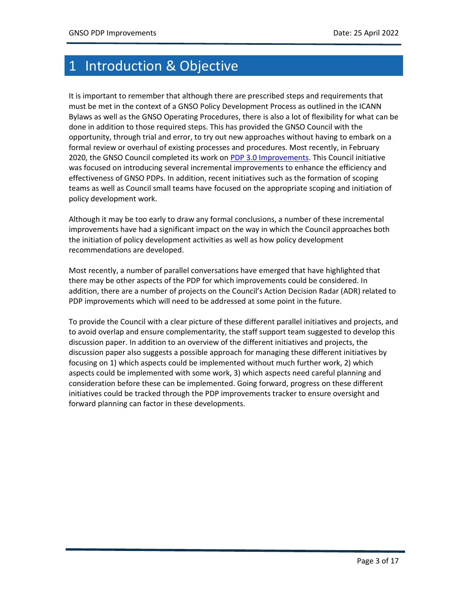## <span id="page-2-0"></span>1 Introduction & Objective

It is important to remember that although there are prescribed steps and requirements that must be met in the context of a GNSO Policy Development Process as outlined in the ICANN Bylaws as well as the GNSO Operating Procedures, there is also a lot of flexibility for what can be done in addition to those required steps. This has provided the GNSO Council with the opportunity, through trial and error, to try out new approaches without having to embark on a formal review or overhaul of existing processes and procedures. Most recently, in February 2020, the GNSO Council completed its work on [PDP 3.0 Improvements.](https://gnso.icann.org/sites/default/files/file/field-file-attach/pdp-final-report-10feb20-en.pdf) This Council initiative was focused on introducing several incremental improvements to enhance the efficiency and effectiveness of GNSO PDPs. In addition, recent initiatives such as the formation of scoping teams as well as Council small teams have focused on the appropriate scoping and initiation of policy development work.

Although it may be too early to draw any formal conclusions, a number of these incremental improvements have had a significant impact on the way in which the Council approaches both the initiation of policy development activities as well as how policy development recommendations are developed.

Most recently, a number of parallel conversations have emerged that have highlighted that there may be other aspects of the PDP for which improvements could be considered. In addition, there are a number of projects on the Council's Action Decision Radar (ADR) related to PDP improvements which will need to be addressed at some point in the future.

To provide the Council with a clear picture of these different parallel initiatives and projects, and to avoid overlap and ensure complementarity, the staff support team suggested to develop this discussion paper. In addition to an overview of the different initiatives and projects, the discussion paper also suggests a possible approach for managing these different initiatives by focusing on 1) which aspects could be implemented without much further work, 2) which aspects could be implemented with some work, 3) which aspects need careful planning and consideration before these can be implemented. Going forward, progress on these different initiatives could be tracked through the PDP improvements tracker to ensure oversight and forward planning can factor in these developments.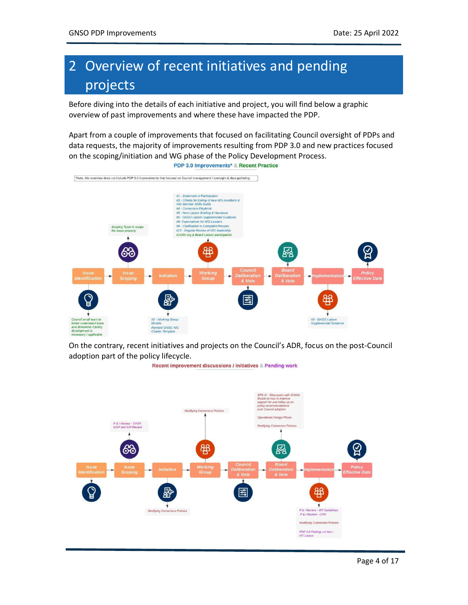## <span id="page-3-0"></span>2 Overview of recent initiatives and pending projects

Before diving into the details of each initiative and project, you will find below a graphic overview of past improvements and where these have impacted the PDP.

Apart from a couple of improvements that focused on facilitating Council oversight of PDPs and data requests, the majority of improvements resulting from PDP 3.0 and new practices focused on the scoping/initiation and WG phase of the Policy Development Process.



On the contrary, recent initiatives and projects on the Council's ADR, focus on the post-Council adoption part of the policy lifecycle.

Recent improvement discussions / initiatives & Pending work

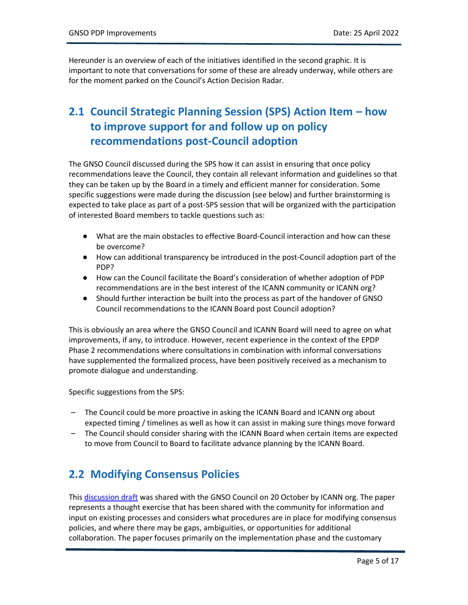Hereunder is an overview of each of the initiatives identified in the second graphic. It is important to note that conversations for some of these are already underway, while others are for the moment parked on the Council's Action Decision Radar.

## **2.1 Council Strategic Planning Session (SPS) Action Item – how to improve support for and follow up on policy recommendations post-Council adoption**

The GNSO Council discussed during the SPS how it can assist in ensuring that once policy recommendations leave the Council, they contain all relevant information and guidelines so that they can be taken up by the Board in a timely and efficient manner for consideration. Some specific suggestions were made during the discussion (see below) and further brainstorming is expected to take place as part of a post-SPS session that will be organized with the participation of interested Board members to tackle questions such as:

- What are the main obstacles to effective Board-Council interaction and how can these be overcome?
- How can additional transparency be introduced in the post-Council adoption part of the PDP?
- How can the Council facilitate the Board's consideration of whether adoption of PDP recommendations are in the best interest of the ICANN community or ICANN org?
- Should further interaction be built into the process as part of the handover of GNSO Council recommendations to the ICANN Board post Council adoption?

This is obviously an area where the GNSO Council and ICANN Board will need to agree on what improvements, if any, to introduce. However, recent experience in the context of the EPDP Phase 2 recommendations where consultations in combination with informal conversations have supplemented the formalized process, have been positively received as a mechanism to promote dialogue and understanding.

Specific suggestions from the SPS:

- The Council could be more proactive in asking the ICANN Board and ICANN org about expected timing / timelines as well as how it can assist in making sure things move forward
- The Council should consider sharing with the ICANN Board when certain items are expected to move from Council to Board to facilitate advance planning by the ICANN Board.

#### **2.2 Modifying Consensus Policies**

This [discussion draft](https://gnso.icann.org/sites/default/files/file/field-file-attach/modifying-gtld-consensus-policies-executive-summary-22oct21-en.pdf) was shared with the GNSO Council on 20 October by ICANN org. The paper represents a thought exercise that has been shared with the community for information and input on existing processes and considers what procedures are in place for modifying consensus policies, and where there may be gaps, ambiguities, or opportunities for additional collaboration. The paper focuses primarily on the implementation phase and the customary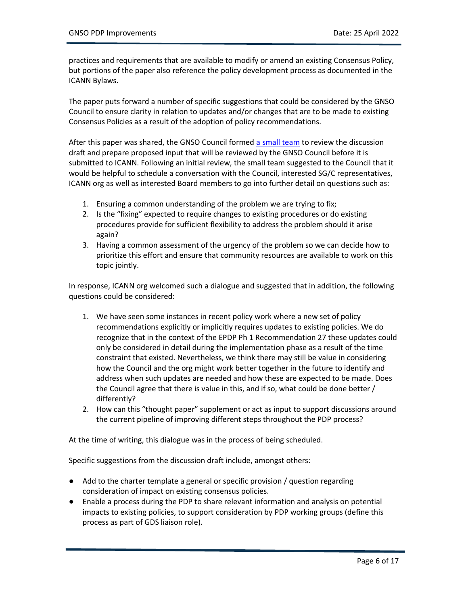practices and requirements that are available to modify or amend an existing Consensus Policy, but portions of the paper also reference the policy development process as documented in the ICANN Bylaws.

The paper puts forward a number of specific suggestions that could be considered by the GNSO Council to ensure clarity in relation to updates and/or changes that are to be made to existing Consensus Policies as a result of the adoption of policy recommendations.

After this paper was shared, the GNSO Council formed [a small team](https://community.icann.org/download/attachments/178587048/Small%20Team%20Assignment%20-%20Modifying%20Consensus%20Policies%20-%20upd%206%20December%202021%20.docx?version=1&modificationDate=1638794062000&api=v2) to review the discussion draft and prepare proposed input that will be reviewed by the GNSO Council before it is submitted to ICANN. Following an initial review, the small team suggested to the Council that it would be helpful to schedule a conversation with the Council, interested SG/C representatives, ICANN org as well as interested Board members to go into further detail on questions such as:

- 1. Ensuring a common understanding of the problem we are trying to fix;
- 2. Is the "fixing" expected to require changes to existing procedures or do existing procedures provide for sufficient flexibility to address the problem should it arise again?
- 3. Having a common assessment of the urgency of the problem so we can decide how to prioritize this effort and ensure that community resources are available to work on this topic jointly.

In response, ICANN org welcomed such a dialogue and suggested that in addition, the following questions could be considered:

- 1. We have seen some instances in recent policy work where a new set of policy recommendations explicitly or implicitly requires updates to existing policies. We do recognize that in the context of the EPDP Ph 1 Recommendation 27 these updates could only be considered in detail during the implementation phase as a result of the time constraint that existed. Nevertheless, we think there may still be value in considering how the Council and the org might work better together in the future to identify and address when such updates are needed and how these are expected to be made. Does the Council agree that there is value in this, and if so, what could be done better / differently?
- 2. How can this "thought paper" supplement or act as input to support discussions around the current pipeline of improving different steps throughout the PDP process?

At the time of writing, this dialogue was in the process of being scheduled.

Specific suggestions from the discussion draft include, amongst others:

- Add to the charter template a general or specific provision / question regarding consideration of impact on existing consensus policies.
- Enable a process during the PDP to share relevant information and analysis on potential impacts to existing policies, to support consideration by PDP working groups (define this process as part of GDS liaison role).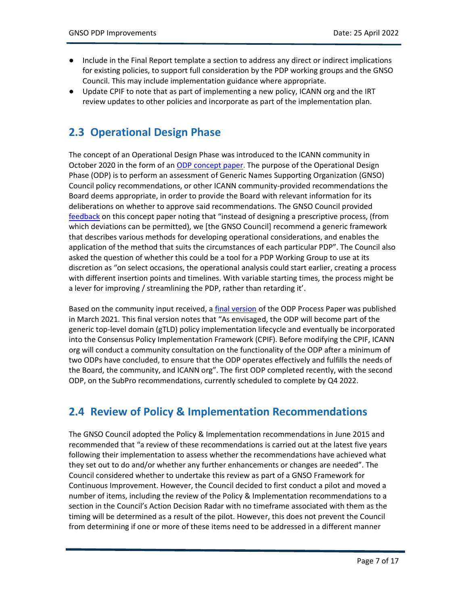- Include in the Final Report template a section to address any direct or indirect implications for existing policies, to support full consideration by the PDP working groups and the GNSO Council. This may include implementation guidance where appropriate.
- Update CPIF to note that as part of implementing a new policy, ICANN org and the IRT review updates to other policies and incorporate as part of the implementation plan.

## **2.3 Operational Design Phase**

The concept of an Operational Design Phase was introduced to the ICANN community in October 2020 in the form of an [ODP concept paper.](https://www.icann.org/en/system/files/files/gnso-odp-01oct20-en.pdf) The purpose of the Operational Design Phase (ODP) is to perform an assessment of Generic Names Supporting Organization (GNSO) Council policy recommendations, or other ICANN community-provided recommendations the Board deems appropriate, in order to provide the Board with relevant information for its deliberations on whether to approve said recommendations. The GNSO Council provided [feedback](https://community.icann.org/download/attachments/153520879/GNSO%20OPD%20Comment%20-%2023%20Nov%202020.pdf?version=1&modificationDate=1609320750000&api=v2) on this concept paper noting that "instead of designing a prescriptive process, (from which deviations can be permitted), we [the GNSO Council] recommend a generic framework that describes various methods for developing operational considerations, and enables the application of the method that suits the circumstances of each particular PDP". The Council also asked the question of whether this could be a tool for a PDP Working Group to use at its discretion as "on select occasions, the operational analysis could start earlier, creating a process with different insertion points and timelines. With variable starting times, the process might be a lever for improving / streamlining the PDP, rather than retarding it'.

Based on the community input received, a [final version](https://www.icann.org/en/system/files/files/odp-concept-paper-05mar21-en.pdf) of the ODP Process Paper was published in March 2021. This final version notes that "As envisaged, the ODP will become part of the generic top-level domain (gTLD) policy implementation lifecycle and eventually be incorporated into the Consensus Policy Implementation Framework (CPIF). Before modifying the CPIF, ICANN org will conduct a community consultation on the functionality of the ODP after a minimum of two ODPs have concluded, to ensure that the ODP operates effectively and fulfills the needs of the Board, the community, and ICANN org". The first ODP completed recently, with the second ODP, on the SubPro recommendations, currently scheduled to complete by Q4 2022.

#### **2.4 Review of Policy & Implementation Recommendations**

The GNSO Council adopted the Policy & Implementation recommendations in June 2015 and recommended that "a review of these recommendations is carried out at the latest five years following their implementation to assess whether the recommendations have achieved what they set out to do and/or whether any further enhancements or changes are needed". The Council considered whether to undertake this review as part of a GNSO Framework for Continuous Improvement. However, the Council decided to first conduct a pilot and moved a number of items, including the review of the Policy & Implementation recommendations to a section in the Council's Action Decision Radar with no timeframe associated with them as the timing will be determined as a result of the pilot. However, this does not prevent the Council from determining if one or more of these items need to be addressed in a different manner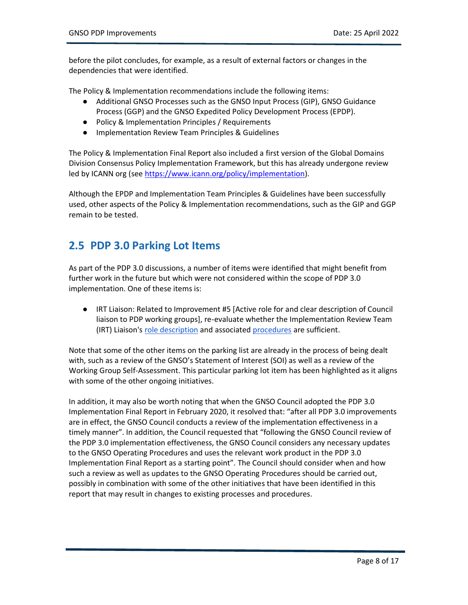before the pilot concludes, for example, as a result of external factors or changes in the dependencies that were identified.

The Policy & Implementation recommendations include the following items:

- Additional GNSO Processes such as the GNSO Input Process (GIP), GNSO Guidance Process (GGP) and the GNSO Expedited Policy Development Process (EPDP).
- Policy & Implementation Principles / Requirements
- Implementation Review Team Principles & Guidelines

The Policy & Implementation Final Report also included a first version of the Global Domains Division Consensus Policy Implementation Framework, but this has already undergone review led by ICANN org (see [https://www.icann.org/policy/implementation\)](https://www.icann.org/policy/implementation).

Although the EPDP and Implementation Team Principles & Guidelines have been successfully used, other aspects of the Policy & Implementation recommendations, such as the GIP and GGP remain to be tested.

#### **2.5 PDP 3.0 Parking Lot Items**

As part of the PDP 3.0 discussions, a number of items were identified that might benefit from further work in the future but which were not considered within the scope of PDP 3.0 implementation. One of these items is:

● IRT Liaison: Related to Improvement #5 [Active role for and clear description of Council liaison to PDP working groups], re-evaluate whether the Implementation Review Team (IRT) Liaison's [role description](https://gnso.icann.org/sites/default/files/file/field-file-attach/gnso-liaison-wg-28sep21-en.pdf) and associated [procedures](https://gnso.icann.org/en/council/irt-principles-guidelines-23aug16-en.pdf) are sufficient.

Note that some of the other items on the parking list are already in the process of being dealt with, such as a review of the GNSO's Statement of Interest (SOI) as well as a review of the Working Group Self-Assessment. This particular parking lot item has been highlighted as it aligns with some of the other ongoing initiatives.

In addition, it may also be worth noting that when the GNSO Council adopted the PDP 3.0 Implementation Final Report in February 2020, it resolved that: "after all PDP 3.0 improvements are in effect, the GNSO Council conducts a review of the implementation effectiveness in a timely manner". In addition, the Council requested that "following the GNSO Council review of the PDP 3.0 implementation effectiveness, the GNSO Council considers any necessary updates to the GNSO Operating Procedures and uses the relevant work product in the PDP 3.0 Implementation Final Report as a starting point". The Council should consider when and how such a review as well as updates to the GNSO Operating Procedures should be carried out, possibly in combination with some of the other initiatives that have been identified in this report that may result in changes to existing processes and procedures.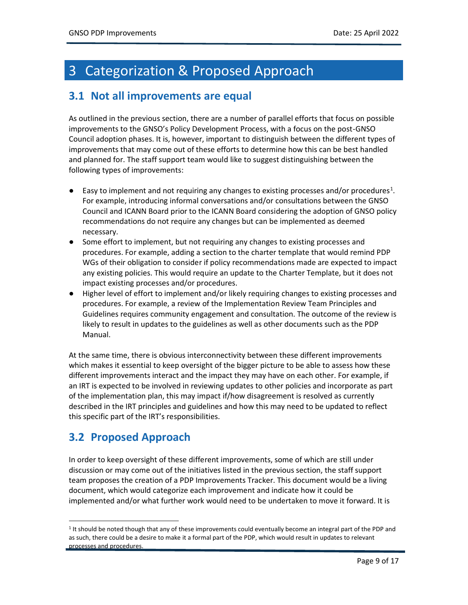## <span id="page-8-0"></span>3 Categorization & Proposed Approach

#### **3.1 Not all improvements are equal**

As outlined in the previous section, there are a number of parallel efforts that focus on possible improvements to the GNSO's Policy Development Process, with a focus on the post-GNSO Council adoption phases. It is, however, important to distinguish between the different types of improvements that may come out of these efforts to determine how this can be best handled and planned for. The staff support team would like to suggest distinguishing between the following types of improvements:

- $\bullet$  Easy to implement and not requiring any changes to existing processes and/or procedures<sup>1</sup>. For example, introducing informal conversations and/or consultations between the GNSO Council and ICANN Board prior to the ICANN Board considering the adoption of GNSO policy recommendations do not require any changes but can be implemented as deemed necessary.
- Some effort to implement, but not requiring any changes to existing processes and procedures. For example, adding a section to the charter template that would remind PDP WGs of their obligation to consider if policy recommendations made are expected to impact any existing policies. This would require an update to the Charter Template, but it does not impact existing processes and/or procedures.
- Higher level of effort to implement and/or likely requiring changes to existing processes and procedures. For example, a review of the Implementation Review Team Principles and Guidelines requires community engagement and consultation. The outcome of the review is likely to result in updates to the guidelines as well as other documents such as the PDP Manual.

At the same time, there is obvious interconnectivity between these different improvements which makes it essential to keep oversight of the bigger picture to be able to assess how these different improvements interact and the impact they may have on each other. For example, if an IRT is expected to be involved in reviewing updates to other policies and incorporate as part of the implementation plan, this may impact if/how disagreement is resolved as currently described in the IRT principles and guidelines and how this may need to be updated to reflect this specific part of the IRT's responsibilities.

## **3.2 Proposed Approach**

In order to keep oversight of these different improvements, some of which are still under discussion or may come out of the initiatives listed in the previous section, the staff support team proposes the creation of a PDP Improvements Tracker. This document would be a living document, which would categorize each improvement and indicate how it could be implemented and/or what further work would need to be undertaken to move it forward. It is

<sup>&</sup>lt;sup>1</sup> It should be noted though that any of these improvements could eventually become an integral part of the PDP and as such, there could be a desire to make it a formal part of the PDP, which would result in updates to relevant processes and procedures.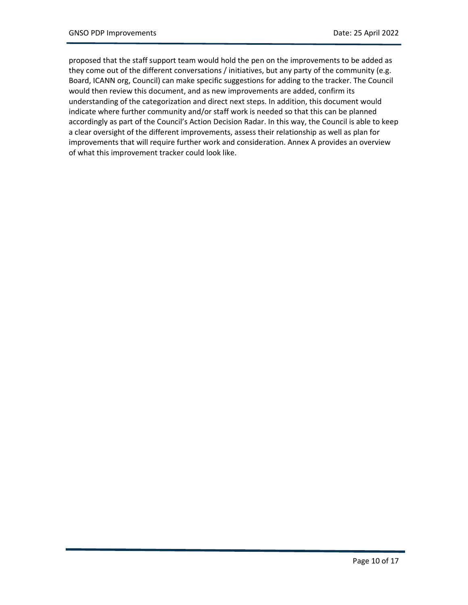proposed that the staff support team would hold the pen on the improvements to be added as they come out of the different conversations / initiatives, but any party of the community (e.g. Board, ICANN org, Council) can make specific suggestions for adding to the tracker. The Council would then review this document, and as new improvements are added, confirm its understanding of the categorization and direct next steps. In addition, this document would indicate where further community and/or staff work is needed so that this can be planned accordingly as part of the Council's Action Decision Radar. In this way, the Council is able to keep a clear oversight of the different improvements, assess their relationship as well as plan for improvements that will require further work and consideration. Annex A provides an overview of what this improvement tracker could look like.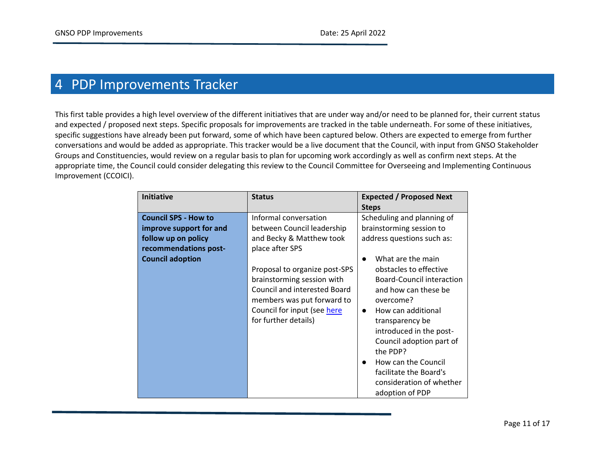## 4 PDP Improvements Tracker

This first table provides a high level overview of the different initiatives that are under way and/or need to be planned for, their current status and expected / proposed next steps. Specific proposals for improvements are tracked in the table underneath. For some of these initiatives, specific suggestions have already been put forward, some of which have been captured below. Others are expected to emerge from further conversations and would be added as appropriate. This tracker would be a live document that the Council, with input from GNSO Stakeholder Groups and Constituencies, would review on a regular basis to plan for upcoming work accordingly as well as confirm next steps. At the appropriate time, the Council could consider delegating this review to the Council Committee for Overseeing and Implementing Continuous Improvement (CCOICI).

<span id="page-10-0"></span>

| <b>Initiative</b>                                                                                                                 | <b>Status</b>                                                                                                                                                                                                                                                                          | <b>Expected / Proposed Next</b><br><b>Steps</b>                                                                                                                                                                                                                                                                                                                                                                                              |
|-----------------------------------------------------------------------------------------------------------------------------------|----------------------------------------------------------------------------------------------------------------------------------------------------------------------------------------------------------------------------------------------------------------------------------------|----------------------------------------------------------------------------------------------------------------------------------------------------------------------------------------------------------------------------------------------------------------------------------------------------------------------------------------------------------------------------------------------------------------------------------------------|
| <b>Council SPS - How to</b><br>improve support for and<br>follow up on policy<br>recommendations post-<br><b>Council adoption</b> | Informal conversation<br>between Council leadership<br>and Becky & Matthew took<br>place after SPS<br>Proposal to organize post-SPS<br>brainstorming session with<br>Council and interested Board<br>members was put forward to<br>Council for input (see here<br>for further details) | Scheduling and planning of<br>brainstorming session to<br>address questions such as:<br>What are the main<br>$\bullet$<br>obstacles to effective<br><b>Board-Council interaction</b><br>and how can these be<br>overcome?<br>How can additional<br>$\bullet$<br>transparency be<br>introduced in the post-<br>Council adoption part of<br>the PDP?<br>How can the Council<br>$\bullet$<br>facilitate the Board's<br>consideration of whether |
|                                                                                                                                   |                                                                                                                                                                                                                                                                                        | adoption of PDP                                                                                                                                                                                                                                                                                                                                                                                                                              |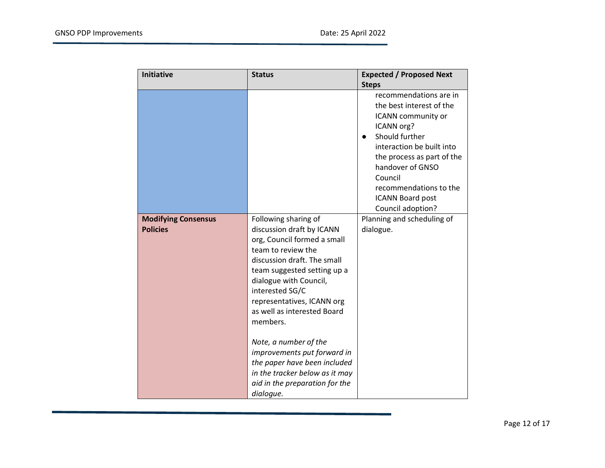| <b>Initiative</b>                             | <b>Status</b>                                                                                                                                                                                                                                                                                                       | <b>Expected / Proposed Next</b>                                                                                                                                                                                                                                              |
|-----------------------------------------------|---------------------------------------------------------------------------------------------------------------------------------------------------------------------------------------------------------------------------------------------------------------------------------------------------------------------|------------------------------------------------------------------------------------------------------------------------------------------------------------------------------------------------------------------------------------------------------------------------------|
|                                               |                                                                                                                                                                                                                                                                                                                     | <b>Steps</b>                                                                                                                                                                                                                                                                 |
|                                               |                                                                                                                                                                                                                                                                                                                     | recommendations are in<br>the best interest of the<br>ICANN community or<br>ICANN org?<br>Should further<br>interaction be built into<br>the process as part of the<br>handover of GNSO<br>Council<br>recommendations to the<br><b>ICANN Board post</b><br>Council adoption? |
| <b>Modifying Consensus</b><br><b>Policies</b> | Following sharing of<br>discussion draft by ICANN<br>org, Council formed a small<br>team to review the<br>discussion draft. The small<br>team suggested setting up a<br>dialogue with Council,<br>interested SG/C<br>representatives, ICANN org<br>as well as interested Board<br>members.<br>Note, a number of the | Planning and scheduling of<br>dialogue.                                                                                                                                                                                                                                      |
|                                               | improvements put forward in<br>the paper have been included<br>in the tracker below as it may<br>aid in the preparation for the<br>dialogue.                                                                                                                                                                        |                                                                                                                                                                                                                                                                              |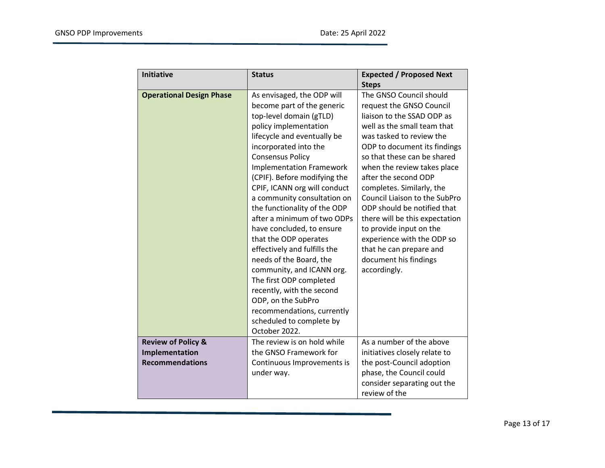| <b>Initiative</b>               | <b>Status</b>                                                                                                                                                                                                                                                                                                                                                                                                                                                                                                                                                                                                                                                                                           | <b>Expected / Proposed Next</b>                                                                                                                                                                                                                                                                                                                                                                                                                                                                                                |
|---------------------------------|---------------------------------------------------------------------------------------------------------------------------------------------------------------------------------------------------------------------------------------------------------------------------------------------------------------------------------------------------------------------------------------------------------------------------------------------------------------------------------------------------------------------------------------------------------------------------------------------------------------------------------------------------------------------------------------------------------|--------------------------------------------------------------------------------------------------------------------------------------------------------------------------------------------------------------------------------------------------------------------------------------------------------------------------------------------------------------------------------------------------------------------------------------------------------------------------------------------------------------------------------|
|                                 |                                                                                                                                                                                                                                                                                                                                                                                                                                                                                                                                                                                                                                                                                                         | <b>Steps</b>                                                                                                                                                                                                                                                                                                                                                                                                                                                                                                                   |
| <b>Operational Design Phase</b> | As envisaged, the ODP will<br>become part of the generic<br>top-level domain (gTLD)<br>policy implementation<br>lifecycle and eventually be<br>incorporated into the<br><b>Consensus Policy</b><br><b>Implementation Framework</b><br>(CPIF). Before modifying the<br>CPIF, ICANN org will conduct<br>a community consultation on<br>the functionality of the ODP<br>after a minimum of two ODPs<br>have concluded, to ensure<br>that the ODP operates<br>effectively and fulfills the<br>needs of the Board, the<br>community, and ICANN org.<br>The first ODP completed<br>recently, with the second<br>ODP, on the SubPro<br>recommendations, currently<br>scheduled to complete by<br>October 2022. | The GNSO Council should<br>request the GNSO Council<br>liaison to the SSAD ODP as<br>well as the small team that<br>was tasked to review the<br>ODP to document its findings<br>so that these can be shared<br>when the review takes place<br>after the second ODP<br>completes. Similarly, the<br>Council Liaison to the SubPro<br>ODP should be notified that<br>there will be this expectation<br>to provide input on the<br>experience with the ODP so<br>that he can prepare and<br>document his findings<br>accordingly. |
| <b>Review of Policy &amp;</b>   | The review is on hold while                                                                                                                                                                                                                                                                                                                                                                                                                                                                                                                                                                                                                                                                             | As a number of the above                                                                                                                                                                                                                                                                                                                                                                                                                                                                                                       |
| Implementation                  | the GNSO Framework for                                                                                                                                                                                                                                                                                                                                                                                                                                                                                                                                                                                                                                                                                  | initiatives closely relate to                                                                                                                                                                                                                                                                                                                                                                                                                                                                                                  |
| <b>Recommendations</b>          | Continuous Improvements is                                                                                                                                                                                                                                                                                                                                                                                                                                                                                                                                                                                                                                                                              | the post-Council adoption                                                                                                                                                                                                                                                                                                                                                                                                                                                                                                      |
|                                 | under way.                                                                                                                                                                                                                                                                                                                                                                                                                                                                                                                                                                                                                                                                                              | phase, the Council could                                                                                                                                                                                                                                                                                                                                                                                                                                                                                                       |
|                                 |                                                                                                                                                                                                                                                                                                                                                                                                                                                                                                                                                                                                                                                                                                         | consider separating out the                                                                                                                                                                                                                                                                                                                                                                                                                                                                                                    |
|                                 |                                                                                                                                                                                                                                                                                                                                                                                                                                                                                                                                                                                                                                                                                                         | review of the                                                                                                                                                                                                                                                                                                                                                                                                                                                                                                                  |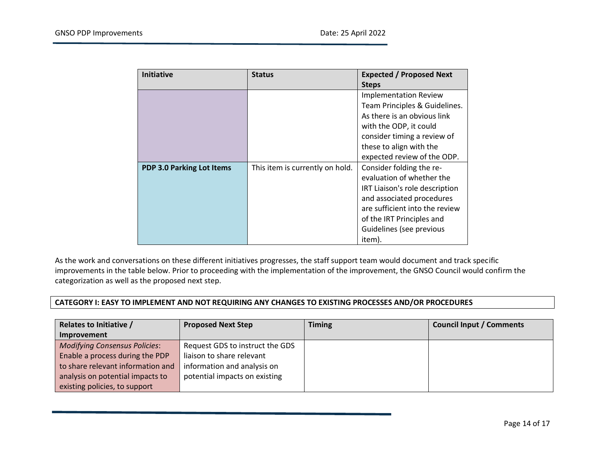| <b>Initiative</b>                | <b>Status</b>                   | <b>Expected / Proposed Next</b> |
|----------------------------------|---------------------------------|---------------------------------|
|                                  |                                 | <b>Steps</b>                    |
|                                  |                                 | <b>Implementation Review</b>    |
|                                  |                                 | Team Principles & Guidelines.   |
|                                  |                                 | As there is an obvious link     |
|                                  |                                 | with the ODP, it could          |
|                                  |                                 | consider timing a review of     |
|                                  |                                 | these to align with the         |
|                                  |                                 | expected review of the ODP.     |
| <b>PDP 3.0 Parking Lot Items</b> | This item is currently on hold. | Consider folding the re-        |
|                                  |                                 | evaluation of whether the       |
|                                  |                                 | IRT Liaison's role description  |
|                                  |                                 | and associated procedures       |
|                                  |                                 | are sufficient into the review  |
|                                  |                                 | of the IRT Principles and       |
|                                  |                                 | Guidelines (see previous        |
|                                  |                                 | item).                          |

As the work and conversations on these different initiatives progresses, the staff support team would document and track specific improvements in the table below. Prior to proceeding with the implementation of the improvement, the GNSO Council would confirm the categorization as well as the proposed next step.

#### **CATEGORY I: EASY TO IMPLEMENT AND NOT REQUIRING ANY CHANGES TO EXISTING PROCESSES AND/OR PROCEDURES**

| <b>Relates to Initiative /</b>       | <b>Proposed Next Step</b>       | <b>Timing</b> | <b>Council Input / Comments</b> |
|--------------------------------------|---------------------------------|---------------|---------------------------------|
| Improvement                          |                                 |               |                                 |
| <b>Modifying Consensus Policies:</b> | Request GDS to instruct the GDS |               |                                 |
| Enable a process during the PDP      | liaison to share relevant       |               |                                 |
| to share relevant information and    | information and analysis on     |               |                                 |
| analysis on potential impacts to     | potential impacts on existing   |               |                                 |
| existing policies, to support        |                                 |               |                                 |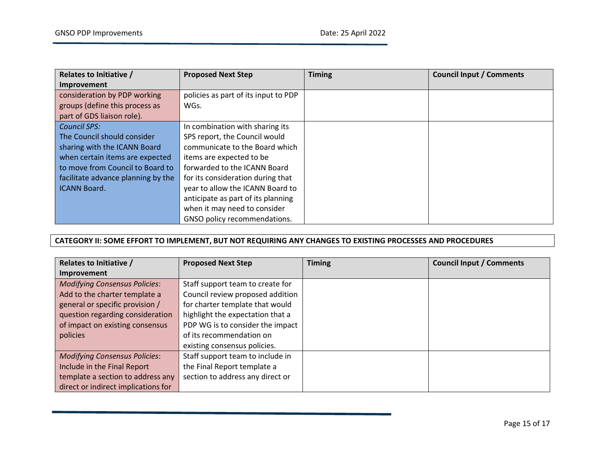| <b>Relates to Initiative /</b>     | <b>Proposed Next Step</b>            | <b>Timing</b> | <b>Council Input / Comments</b> |
|------------------------------------|--------------------------------------|---------------|---------------------------------|
| Improvement                        |                                      |               |                                 |
| consideration by PDP working       | policies as part of its input to PDP |               |                                 |
| groups (define this process as     | WGs.                                 |               |                                 |
| part of GDS liaison role).         |                                      |               |                                 |
| <b>Council SPS:</b>                | In combination with sharing its      |               |                                 |
| The Council should consider        | SPS report, the Council would        |               |                                 |
| sharing with the ICANN Board       | communicate to the Board which       |               |                                 |
| when certain items are expected    | items are expected to be             |               |                                 |
| to move from Council to Board to   | forwarded to the ICANN Board         |               |                                 |
| facilitate advance planning by the | for its consideration during that    |               |                                 |
| <b>ICANN Board.</b>                | year to allow the ICANN Board to     |               |                                 |
|                                    | anticipate as part of its planning   |               |                                 |
|                                    | when it may need to consider         |               |                                 |
|                                    | GNSO policy recommendations.         |               |                                 |

#### **CATEGORY II: SOME EFFORT TO IMPLEMENT, BUT NOT REQUIRING ANY CHANGES TO EXISTING PROCESSES AND PROCEDURES**

| <b>Relates to Initiative /</b>       | <b>Proposed Next Step</b>        | <b>Timing</b> | <b>Council Input / Comments</b> |
|--------------------------------------|----------------------------------|---------------|---------------------------------|
| Improvement                          |                                  |               |                                 |
| <b>Modifying Consensus Policies:</b> | Staff support team to create for |               |                                 |
| Add to the charter template a        | Council review proposed addition |               |                                 |
| general or specific provision /      | for charter template that would  |               |                                 |
| question regarding consideration     | highlight the expectation that a |               |                                 |
| of impact on existing consensus      | PDP WG is to consider the impact |               |                                 |
| policies                             | of its recommendation on         |               |                                 |
|                                      | existing consensus policies.     |               |                                 |
| <b>Modifying Consensus Policies:</b> | Staff support team to include in |               |                                 |
| Include in the Final Report          | the Final Report template a      |               |                                 |
| template a section to address any    | section to address any direct or |               |                                 |
| direct or indirect implications for  |                                  |               |                                 |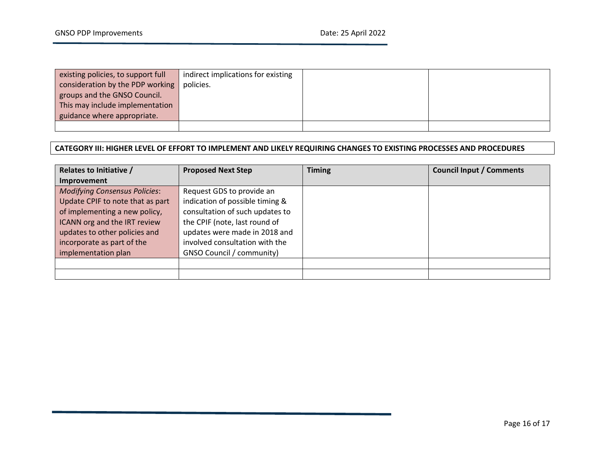| existing policies, to support full | indirect implications for existing |  |
|------------------------------------|------------------------------------|--|
| consideration by the PDP working   | policies.                          |  |
| groups and the GNSO Council.       |                                    |  |
| This may include implementation    |                                    |  |
| guidance where appropriate.        |                                    |  |
|                                    |                                    |  |

#### **CATEGORY III: HIGHER LEVEL OF EFFORT TO IMPLEMENT AND LIKELY REQUIRING CHANGES TO EXISTING PROCESSES AND PROCEDURES**

| <b>Relates to Initiative /</b>       | <b>Proposed Next Step</b>        | <b>Timing</b> | <b>Council Input / Comments</b> |
|--------------------------------------|----------------------------------|---------------|---------------------------------|
| Improvement                          |                                  |               |                                 |
| <b>Modifying Consensus Policies:</b> | Request GDS to provide an        |               |                                 |
| Update CPIF to note that as part     | indication of possible timing &  |               |                                 |
| of implementing a new policy,        | consultation of such updates to  |               |                                 |
| ICANN org and the IRT review         | the CPIF (note, last round of    |               |                                 |
| updates to other policies and        | updates were made in 2018 and    |               |                                 |
| incorporate as part of the           | involved consultation with the   |               |                                 |
| implementation plan                  | <b>GNSO Council / community)</b> |               |                                 |
|                                      |                                  |               |                                 |
|                                      |                                  |               |                                 |